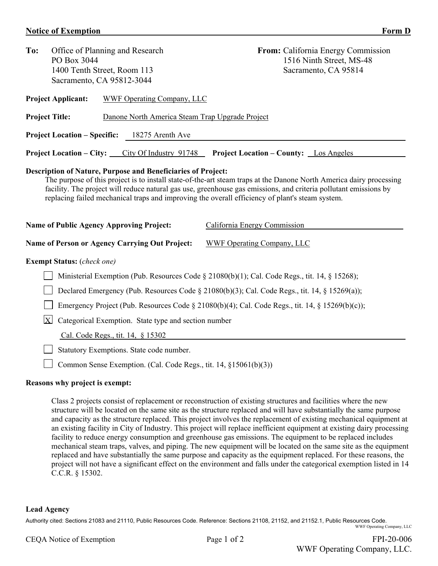## **Notice of Exemption** Form D

| To:                                                       | PO Box 3044                                                                                         | Office of Planning and Research<br>1400 Tenth Street, Room 113<br>Sacramento, CA 95812-3044                            | From: California Energy Commission<br>1516 Ninth Street, MS-48<br>Sacramento, CA 95814                                                                                                                                                                                                                                                                                     |  |  |
|-----------------------------------------------------------|-----------------------------------------------------------------------------------------------------|------------------------------------------------------------------------------------------------------------------------|----------------------------------------------------------------------------------------------------------------------------------------------------------------------------------------------------------------------------------------------------------------------------------------------------------------------------------------------------------------------------|--|--|
|                                                           | <b>Project Applicant:</b>                                                                           | WWF Operating Company, LLC                                                                                             |                                                                                                                                                                                                                                                                                                                                                                            |  |  |
|                                                           | <b>Project Title:</b>                                                                               | Danone North America Steam Trap Upgrade Project                                                                        |                                                                                                                                                                                                                                                                                                                                                                            |  |  |
|                                                           | <b>Project Location – Specific:</b>                                                                 | 18275 Arenth Ave                                                                                                       |                                                                                                                                                                                                                                                                                                                                                                            |  |  |
|                                                           |                                                                                                     | Project Location – City: City Of Industry 91748                                                                        | <b>Project Location - County:</b> Los Angeles                                                                                                                                                                                                                                                                                                                              |  |  |
|                                                           |                                                                                                     | <b>Description of Nature, Purpose and Beneficiaries of Project:</b><br><b>Name of Public Agency Approving Project:</b> | The purpose of this project is to install state-of-the-art steam traps at the Danone North America dairy processing<br>facility. The project will reduce natural gas use, greenhouse gas emissions, and criteria pollutant emissions by<br>replacing failed mechanical traps and improving the overall efficiency of plant's steam system.<br>California Energy Commission |  |  |
|                                                           |                                                                                                     | <b>Name of Person or Agency Carrying Out Project:</b>                                                                  | <b>WWF Operating Company, LLC</b>                                                                                                                                                                                                                                                                                                                                          |  |  |
|                                                           | <b>Exempt Status:</b> (check one)                                                                   |                                                                                                                        |                                                                                                                                                                                                                                                                                                                                                                            |  |  |
|                                                           |                                                                                                     |                                                                                                                        | Ministerial Exemption (Pub. Resources Code $\S$ 21080(b)(1); Cal. Code Regs., tit. 14, $\S$ 15268);                                                                                                                                                                                                                                                                        |  |  |
|                                                           | Declared Emergency (Pub. Resources Code $\S$ 21080(b)(3); Cal. Code Regs., tit. 14, $\S$ 15269(a)); |                                                                                                                        |                                                                                                                                                                                                                                                                                                                                                                            |  |  |
|                                                           | Emergency Project (Pub. Resources Code § 21080(b)(4); Cal. Code Regs., tit. 14, § 15269(b)(c));     |                                                                                                                        |                                                                                                                                                                                                                                                                                                                                                                            |  |  |
| X<br>Categorical Exemption. State type and section number |                                                                                                     |                                                                                                                        |                                                                                                                                                                                                                                                                                                                                                                            |  |  |
|                                                           |                                                                                                     | Cal. Code Regs., tit. 14, § 15302                                                                                      |                                                                                                                                                                                                                                                                                                                                                                            |  |  |
|                                                           |                                                                                                     | Statutory Exemptions. State code number.                                                                               |                                                                                                                                                                                                                                                                                                                                                                            |  |  |
|                                                           |                                                                                                     | Common Sense Exemption. (Cal. Code Regs., tit. 14, §15061(b)(3))                                                       |                                                                                                                                                                                                                                                                                                                                                                            |  |  |

## **Reasons why project is exempt:**

Class 2 projects consist of replacement or reconstruction of existing structures and facilities where the new structure will be located on the same site as the structure replaced and will have substantially the same purpose and capacity as the structure replaced. This project involves the replacement of existing mechanical equipment at an existing facility in City of Industry. This project will replace inefficient equipment at existing dairy processing facility to reduce energy consumption and greenhouse gas emissions. The equipment to be replaced includes mechanical steam traps, valves, and piping. The new equipment will be located on the same site as the equipment replaced and have substantially the same purpose and capacity as the equipment replaced. For these reasons, the project will not have a significant effect on the environment and falls under the categorical exemption listed in 14 C.C.R. § 15302.

## **Lead Agency**

Authority cited: Sections 21083 and 21110, Public Resources Code. Reference: Sections 21108, 21152, and 21152.1, Public Resources Code. WWF Operating Company, LLC